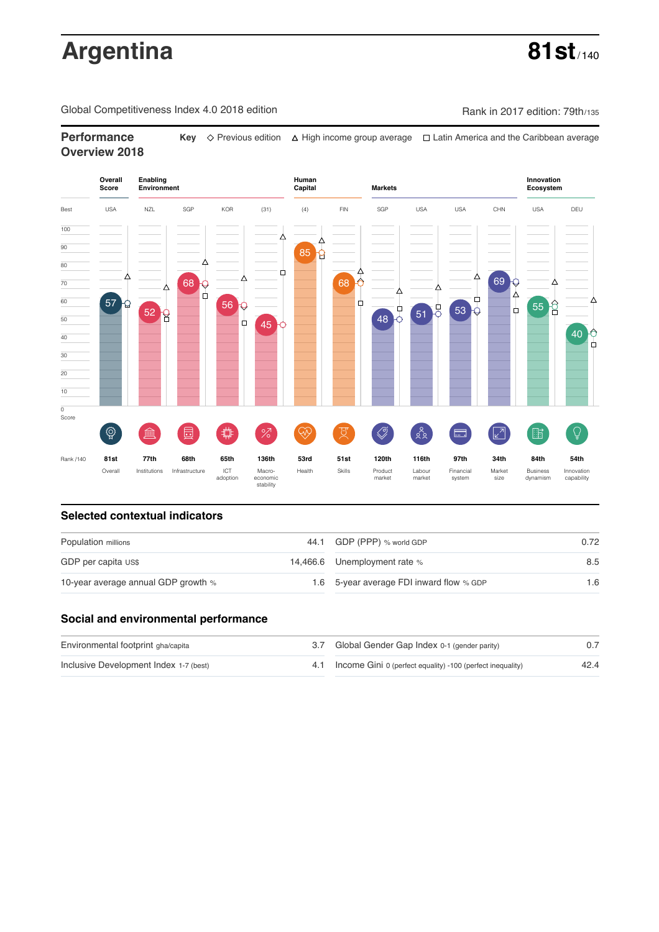# **Argentina 81st**

Global Competitiveness Index 4.0 2018 edition Company Rank in 2017 edition: 79th/135

**Performance Key**  $\Diamond$  Previous edition △ High income group average □ Latin America and the Caribbean average **Overview 2018**



### **Selected contextual indicators**

| Population millions                 | 44.1 GDP (PPP) % world GDP               | 0.72 |  |
|-------------------------------------|------------------------------------------|------|--|
| GDP per capita US\$                 | 14,466.6 Unemployment rate %             | 8.5  |  |
| 10-year average annual GDP growth % | 1.6 5-year average FDI inward flow % GDP | 1.6  |  |

### **Social and environmental performance**

| Environmental footprint gha/capita     | 3.7 Global Gender Gap Index 0-1 (gender parity)                |      |
|----------------------------------------|----------------------------------------------------------------|------|
| Inclusive Development Index 1-7 (best) | 4.1 Income Gini 0 (perfect equality) -100 (perfect inequality) | 42.4 |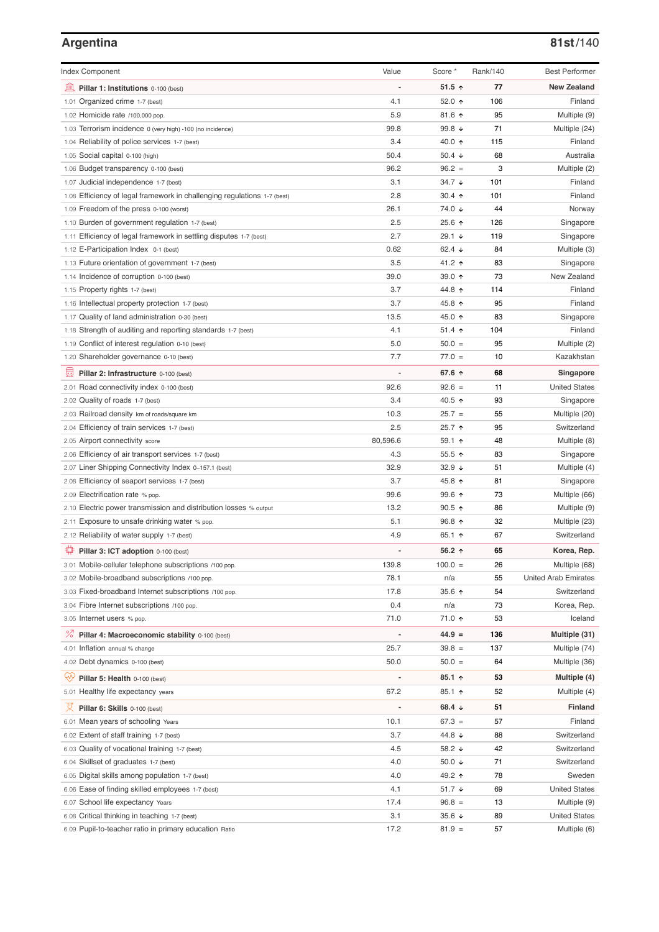# **Argentina 81st**/140

| <b>Index Component</b>                                                   | Value          | Score *              | Rank/140 | <b>Best Performer</b>       |
|--------------------------------------------------------------------------|----------------|----------------------|----------|-----------------------------|
| 寙<br>Pillar 1: Institutions 0-100 (best)                                 |                | $51.5$ ↑             | 77       | <b>New Zealand</b>          |
| 1.01 Organized crime 1-7 (best)                                          | 4.1            | 52.0 ↑               | 106      | Finland                     |
| 1.02 Homicide rate /100,000 pop.                                         | 5.9            | 81.6 ↑               | 95       | Multiple (9)                |
| 1.03 Terrorism incidence 0 (very high) -100 (no incidence)               | 99.8           | 99.8 ↓               | 71       | Multiple (24)               |
| 1.04 Reliability of police services 1-7 (best)                           | 3.4            | 40.0 ↑               | 115      | Finland                     |
| 1.05 Social capital 0-100 (high)                                         | 50.4           | 50.4 $\sqrt{ }$      | 68       | Australia                   |
| 1.06 Budget transparency 0-100 (best)                                    | 96.2           | $96.2 =$             | 3        | Multiple (2)                |
| 1.07 Judicial independence 1-7 (best)                                    | 3.1            | $34.7 \; \downarrow$ | 101      | Finland                     |
| 1.08 Efficiency of legal framework in challenging regulations 1-7 (best) | 2.8            | 30.4 $\uparrow$      | 101      | Finland                     |
| 1.09 Freedom of the press 0-100 (worst)                                  | 26.1           | 74.0 ↓               | 44       | Norway                      |
| 1.10 Burden of government regulation 1-7 (best)                          | 2.5            | 25.6 个               | 126      | Singapore                   |
| 1.11 Efficiency of legal framework in settling disputes 1-7 (best)       | 2.7            | $29.1 +$             | 119      | Singapore                   |
| 1.12 E-Participation Index 0-1 (best)                                    | 0.62           | 62.4 $\sqrt{ }$      | 84       | Multiple (3)                |
| 1.13 Future orientation of government 1-7 (best)                         | 3.5            | 41.2 ↑               | 83       | Singapore                   |
| 1.14 Incidence of corruption 0-100 (best)                                | 39.0           | 39.0 个               | 73       | New Zealand                 |
| 1.15 Property rights 1-7 (best)                                          | 3.7            | 44.8 ↑               | 114      | Finland                     |
| 1.16 Intellectual property protection 1-7 (best)                         | 3.7            | 45.8 ↑               | 95       | Finland                     |
|                                                                          | 13.5           | 45.0 ↑               | 83       | Singapore                   |
| 1.17 Quality of land administration 0-30 (best)                          |                |                      |          |                             |
| 1.18 Strength of auditing and reporting standards 1-7 (best)             | 4.1            | $51.4$ 1             | 104      | Finland                     |
| 1.19 Conflict of interest regulation 0-10 (best)                         | 5.0            | $50.0 =$             | 95       | Multiple (2)                |
| 1.20 Shareholder governance 0-10 (best)                                  | 7.7            | $77.0 =$             | 10       | Kazakhstan                  |
| 圓<br>Pillar 2: Infrastructure 0-100 (best)                               |                | 67.6 ↑               | 68       | Singapore                   |
| 2.01 Road connectivity index 0-100 (best)                                | 92.6           | $92.6 =$             | 11       | <b>United States</b>        |
| 2.02 Quality of roads 1-7 (best)                                         | 3.4            | 40.5 ↑               | 93       | Singapore                   |
| 2.03 Railroad density km of roads/square km                              | 10.3           | $25.7 =$             | 55       | Multiple (20)               |
| 2.04 Efficiency of train services 1-7 (best)                             | 2.5            | 25.7 ↑               | 95       | Switzerland                 |
| 2.05 Airport connectivity score                                          | 80,596.6       | 59.1 ↑               | 48       | Multiple (8)                |
| 2.06 Efficiency of air transport services 1-7 (best)                     | 4.3            | $55.5$ ↑             | 83       | Singapore                   |
| 2.07 Liner Shipping Connectivity Index 0-157.1 (best)                    | 32.9           | $32.9 +$             | 51       | Multiple (4)                |
| 2.08 Efficiency of seaport services 1-7 (best)                           | 3.7            | 45.8 ↑               | 81       | Singapore                   |
| 2.09 Electrification rate % pop.                                         | 99.6           | 99.6 个               | 73       | Multiple (66)               |
| 2.10 Electric power transmission and distribution losses % output        | 13.2           | $90.5$ ↑             | 86       | Multiple (9)                |
| 2.11 Exposure to unsafe drinking water % pop.                            | 5.1            | 96.8 ↑               | 32       | Multiple (23)               |
| 2.12 Reliability of water supply 1-7 (best)                              | 4.9            | 65.1 $\uparrow$      | 67       | Switzerland                 |
| Pillar 3: ICT adoption 0-100 (best)                                      |                | 56.2 ↑               | 65       | Korea, Rep.                 |
|                                                                          |                |                      |          |                             |
| 3.01 Mobile-cellular telephone subscriptions /100 pop.                   | 139.8          | $100.0 =$            | 26       | Multiple (68)               |
| 3.02 Mobile-broadband subscriptions /100 pop.                            | 78.1           | n/a                  | 55       | <b>United Arab Emirates</b> |
| 3.03 Fixed-broadband Internet subscriptions /100 pop.                    | 17.8           | 35.6 个               | 54       | Switzerland                 |
| 3.04 Fibre Internet subscriptions /100 pop.                              | 0.4            | n/a                  | 73       | Korea, Rep.                 |
| 3.05 Internet users % pop.                                               | 71.0           | 71.0 ተ               | 53       | Iceland                     |
| ℅<br>Pillar 4: Macroeconomic stability 0-100 (best)                      |                | $44.9 =$             | 136      | Multiple (31)               |
| 4.01 Inflation annual % change                                           | 25.7           | $39.8 =$             | 137      | Multiple (74)               |
| 4.02 Debt dynamics 0-100 (best)                                          | 50.0           | $50.0 =$             | 64       | Multiple (36)               |
| ₩<br>Pillar 5: Health 0-100 (best)                                       |                | $85.1$ 1             | 53       | Multiple (4)                |
| 5.01 Healthy life expectancy years                                       | 67.2           | 85.1 个               | 52       | Multiple (4)                |
| 文                                                                        | $\overline{a}$ | 68.4 $\downarrow$    | 51       | <b>Finland</b>              |
| Pillar 6: Skills 0-100 (best)                                            |                |                      |          |                             |
| 6.01 Mean years of schooling Years                                       | 10.1           | $67.3 =$             | 57       | Finland                     |
| 6.02 Extent of staff training 1-7 (best)                                 | 3.7            | 44.8 ↓               | 88       | Switzerland                 |
| 6.03 Quality of vocational training 1-7 (best)                           | 4.5            | 58.2 $\sqrt{ }$      | 42       | Switzerland                 |
| 6.04 Skillset of graduates 1-7 (best)                                    | 4.0            | 50.0 $\sqrt{ }$      | 71       | Switzerland                 |
| 6.05 Digital skills among population 1-7 (best)                          | 4.0            | 49.2 ↑               | 78       | Sweden                      |
| 6.06 Ease of finding skilled employees 1-7 (best)                        | 4.1            | 51.7 ↓               | 69       | <b>United States</b>        |
| 6.07 School life expectancy Years                                        | 17.4           | $96.8 =$             | 13       | Multiple (9)                |
| 6.08 Critical thinking in teaching 1-7 (best)                            | 3.1            | 35.6 $\sqrt{ }$      | 89       | <b>United States</b>        |
| 6.09 Pupil-to-teacher ratio in primary education Ratio                   | 17.2           | $81.9 =$             | 57       | Multiple (6)                |